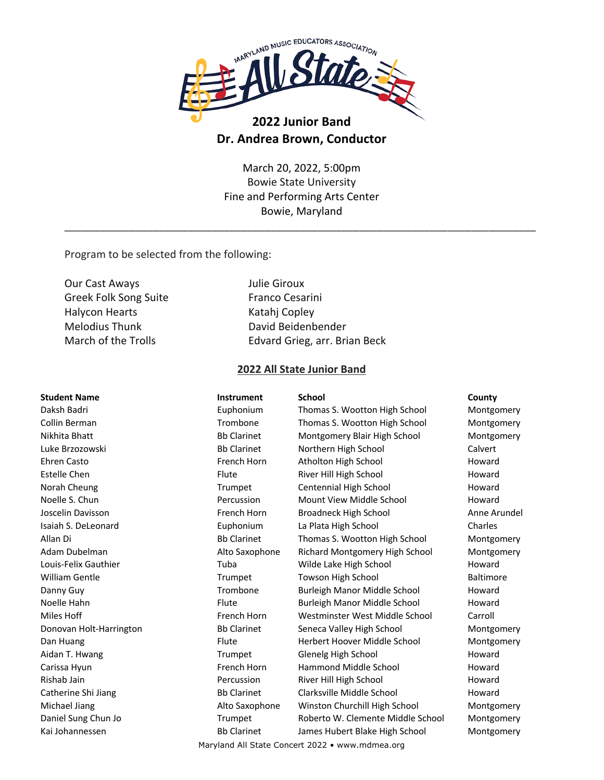

# **2022 Junior Band Dr. Andrea Brown, Conductor**

March 20, 2022, 5:00pm Bowie State University Fine and Performing Arts Center Bowie, Maryland

\_\_\_\_\_\_\_\_\_\_\_\_\_\_\_\_\_\_\_\_\_\_\_\_\_\_\_\_\_\_\_\_\_\_\_\_\_\_\_\_\_\_\_\_\_\_\_\_\_\_\_\_\_\_\_\_\_\_\_\_\_\_\_\_\_\_\_\_\_\_\_\_\_\_\_\_\_\_\_\_

Program to be selected from the following:

Our Cast Aways Julie Giroux Greek Folk Song Suite Franco Cesarini Halycon Hearts Katahj Copley Melodius Thunk David Beidenbender

March of the Trolls **Edvard Grieg, arr. Brian Beck** 

### **2022 All State Junior Band**

**Student Name Instrument School County** Daksh Badri Euphonium Thomas S. Wootton High School Montgomery Collin Berman **Trombone** Thomas S. Wootton High School Montgomery Nikhita Bhatt **Batt Contains and Bate Containery Montgomery Blair High School** Montgomery Luke Brzozowski Bb Clarinet Northern High School Calvert Ehren Casto **French Horn** Atholton High School Howard Howard Estelle Chen Flute Flute River Hill High School Howard Norah Cheung Trumpet Centennial High School Howard Noelle S. Chun **Percussion** Percussion Mount View Middle School Howard Joscelin Davisson French Horn Broadneck High School Anne Arundel Isaiah S. DeLeonard Euphonium La Plata High School Charles Allan Di **Bb Clarinet** Thomas S. Wootton High School Montgomery Montery Adam Dubelman **Alto Saxophone** Richard Montgomery High School Montgomery High School Montgomery Louis-Felix Gauthier Tuba Tuba Wilde Lake High School Howard William Gentle **Trumpet** Towson High School Baltimore Danny Guy **Trombone** Burleigh Manor Middle School Howard Noelle Hahn Flute Burleigh Manor Middle School Howard Miles Hoff **French Horn** Westminster West Middle School Carroll Donovan Holt-Harrington **Bb Clarinet** Seneca Valley High School Montgomery Dan Huang **Flute** Flute Herbert Hoover Middle School Montgomery Aidan T. Hwang Trumpet Glenelg High School Howard Carissa Hyun **French Horn** Hammond Middle School Howard Howard Rishab Jain **Percussion** River Hill High School **Howard** Howard Catherine Shi Jiang **Bb Clarinet** Clarksville Middle School Howard Michael Jiang **Alto Saxophone** Winston Churchill High School Montgomery Daniel Sung Chun Jo Trumpet Roberto W. Clemente Middle School Montgomery Kai Johannessen **Bb Clarinet** James Hubert Blake High School Montgomery

Maryland All State Concert 2022 • www.mdmea.org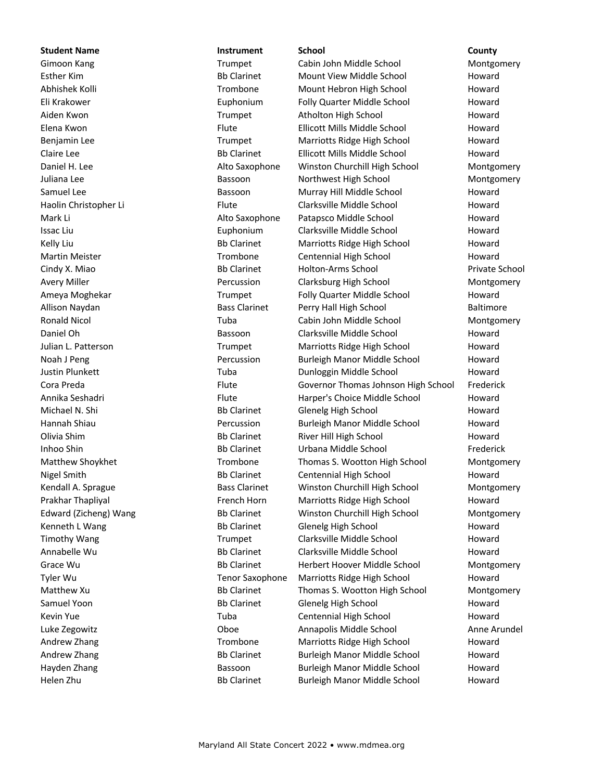### **Student Name Instrument School County**

Gimoon Kang **Trumpet** Cabin John Middle School Montgomery Esther Kim **Bb Clarinet** Mount View Middle School Howard Abhishek Kolli **Noward** Trombone Mount Hebron High School Howard Eli Krakower Euphonium Folly Quarter Middle School Howard Aiden Kwon **Trumpet** Atholton High School Howard Howard Elena Kwon Flute Ellicott Mills Middle School Howard Benjamin Lee **Trumpet** Marriotts Ridge High School Howard Claire Lee **Bb Clarinet** Ellicott Mills Middle School Howard Daniel H. Lee **Alto Saxophone** Winston Churchill High School Montgomery Juliana Lee **Bassoon** Bassoon Northwest High School Montgomery Samuel Lee **Bassoon** Bassoon Murray Hill Middle School Howard Haolin Christopher Li **Flute** Flute Clarksville Middle School Howard Mark Li **Mark Li** Alto Saxophone Patapsco Middle School Howard Issac Liu **Issac Liu Euphonium** Clarksville Middle School Howard Kelly Liu **Bb Clarinet** Marriotts Ridge High School Howard Martin Meister **Network** Trombone Centennial High School Howard Cindy X. Miao Bb Clarinet Holton-Arms School Private School Avery Miller **Notain Clarksburg High School** Montgomery Clarksburg High School Montgomery Ameya Moghekar Trumpet Folly Quarter Middle School Howard Allison Naydan **Bass Clarinet** Perry Hall High School Baltimore Ronald Nicol **Nicol** Tuba Cabin John Middle School Montgomery Daniel Oh **Bassoon** Clarksville Middle School Howard Julian L. Patterson Trumpet Marriotts Ridge High School Howard Noah J Peng Percussion Burleigh Manor Middle School Howard Justin Plunkett Tuba Dunloggin Middle School Howard Cora Preda **Flute** Flute Governor Thomas Johnson High School Frederick Annika Seshadri **Elute** Flute Harper's Choice Middle School Howard Michael N. Shi **Bb Clarinet** Glenelg High School Howard Hannah Shiau Percussion Burleigh Manor Middle School Howard Olivia Shim **Bb Clarinet** River Hill High School Howard Inhoo Shin Bb Clarinet Urbana Middle School Frederick Matthew Shoykhet Trombone Thomas S. Wootton High School Montgomery Nigel Smith **Bb Clarinet** Centennial High School Howard Kendall A. Sprague **Bass Clarinet** Winston Churchill High School Montgomery Prakhar Thapliyal **French Horn** Marriotts Ridge High School Howard Edward (Zicheng) Wang **Bb Clarinet** Winston Churchill High School Montgomery Kenneth L Wang The Controller Bb Clarinet Glenelg High School The Moward Timothy Wang Trumpet Clarksville Middle School Howard Annabelle Wu **Britannia Bb Clarinet** Clarksville Middle School Howard Grace Wu **Bb Clarinet** Herbert Hoover Middle School Montgomery Medical Association of the Bb Clarinet Tyler Wu **Tenor Saxophone** Marriotts Ridge High School **Howard** Howard Matthew Xu **Bb Clarinet** Thomas S. Wootton High School Montgomery Montgomery Samuel Yoon **Bb Clarinet** Glenelg High School Howard Howard Kevin Yue **Tuba** Tuba Centennial High School **Howard** Howard Luke Zegowitz Oboe Annapolis Middle School Anne Arundel Andrew Zhang Trombone Marriotts Ridge High School Howard Andrew Zhang **Bb Clarinet** Burleigh Manor Middle School Howard Hayden Zhang Thang Bassoon Burleigh Manor Middle School Howard Helen Zhu Bb Clarinet Burleigh Manor Middle School Howard